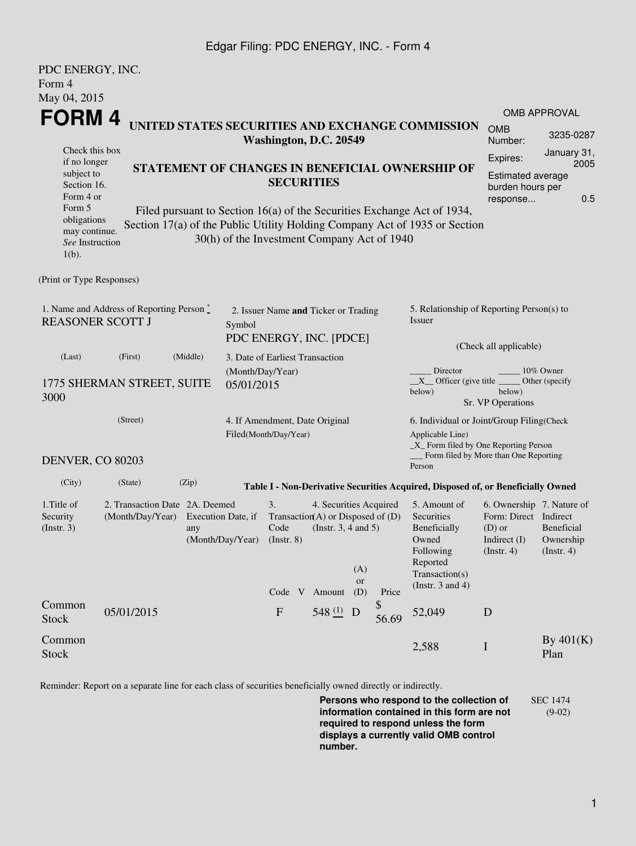## Edgar Filing: PDC ENERGY, INC. - Form 4

| PDC ENERGY, INC.                                                           |                                |        |                                 |                                                             |                          |                                                 |                        |                                                                                  |                                       |                           |  |  |
|----------------------------------------------------------------------------|--------------------------------|--------|---------------------------------|-------------------------------------------------------------|--------------------------|-------------------------------------------------|------------------------|----------------------------------------------------------------------------------|---------------------------------------|---------------------------|--|--|
| Form 4                                                                     |                                |        |                                 |                                                             |                          |                                                 |                        |                                                                                  |                                       |                           |  |  |
| May 04, 2015                                                               |                                |        |                                 |                                                             |                          |                                                 |                        |                                                                                  |                                       |                           |  |  |
| FORM 4                                                                     |                                |        |                                 |                                                             |                          |                                                 |                        |                                                                                  |                                       | <b>OMB APPROVAL</b>       |  |  |
| UNITED STATES SECURITIES AND EXCHANGE COMMISSION<br>Washington, D.C. 20549 |                                |        |                                 |                                                             |                          |                                                 |                        | <b>OMB</b><br>Number:                                                            | 3235-0287                             |                           |  |  |
| Check this box                                                             |                                |        |                                 |                                                             |                          |                                                 | Expires:               | January 31,                                                                      |                                       |                           |  |  |
| if no longer<br>subject to                                                 |                                |        |                                 |                                                             |                          | STATEMENT OF CHANGES IN BENEFICIAL OWNERSHIP OF |                        |                                                                                  |                                       | 2005<br>Estimated average |  |  |
| Section 16.                                                                | <b>SECURITIES</b>              |        |                                 |                                                             |                          | burden hours per                                |                        |                                                                                  |                                       |                           |  |  |
| Form 5                                                                     | Form 4 or                      |        |                                 |                                                             |                          |                                                 |                        |                                                                                  | response                              | 0.5                       |  |  |
| obligations                                                                |                                |        |                                 |                                                             |                          |                                                 |                        | Filed pursuant to Section 16(a) of the Securities Exchange Act of 1934,          |                                       |                           |  |  |
| may continue.                                                              |                                |        |                                 |                                                             |                          |                                                 |                        | Section 17(a) of the Public Utility Holding Company Act of 1935 or Section       |                                       |                           |  |  |
| See Instruction                                                            |                                |        |                                 | 30(h) of the Investment Company Act of 1940                 |                          |                                                 |                        |                                                                                  |                                       |                           |  |  |
| $1(b)$ .                                                                   |                                |        |                                 |                                                             |                          |                                                 |                        |                                                                                  |                                       |                           |  |  |
| (Print or Type Responses)                                                  |                                |        |                                 |                                                             |                          |                                                 |                        |                                                                                  |                                       |                           |  |  |
|                                                                            |                                |        |                                 |                                                             |                          |                                                 |                        |                                                                                  |                                       |                           |  |  |
| 1. Name and Address of Reporting Person $\stackrel{*}{\mathbb{L}}$         |                                |        |                                 | 2. Issuer Name and Ticker or Trading                        |                          |                                                 |                        | 5. Relationship of Reporting Person(s) to                                        |                                       |                           |  |  |
| <b>REASONER SCOTT J</b>                                                    |                                | Symbol |                                 |                                                             |                          |                                                 | Issuer                 |                                                                                  |                                       |                           |  |  |
|                                                                            |                                |        | PDC ENERGY, INC. [PDCE]         |                                                             |                          |                                                 | (Check all applicable) |                                                                                  |                                       |                           |  |  |
| (Middle)<br>(Last)<br>(First)                                              |                                |        | 3. Date of Earliest Transaction |                                                             |                          |                                                 |                        |                                                                                  |                                       |                           |  |  |
|                                                                            |                                |        |                                 | (Month/Day/Year)                                            |                          |                                                 |                        | Director<br>10% Owner                                                            |                                       |                           |  |  |
|                                                                            | 1775 SHERMAN STREET, SUITE     |        | 05/01/2015                      |                                                             |                          |                                                 |                        | $X$ Officer (give title<br>Other (specify<br>below)<br>below)                    |                                       |                           |  |  |
| 3000                                                                       |                                |        |                                 |                                                             |                          |                                                 |                        |                                                                                  | Sr. VP Operations                     |                           |  |  |
| (Street)                                                                   |                                |        |                                 | 4. If Amendment, Date Original                              |                          |                                                 |                        | 6. Individual or Joint/Group Filing(Check                                        |                                       |                           |  |  |
|                                                                            |                                |        |                                 | Filed(Month/Day/Year)                                       |                          |                                                 |                        | Applicable Line)                                                                 |                                       |                           |  |  |
|                                                                            |                                |        |                                 |                                                             |                          |                                                 |                        | _X_ Form filed by One Reporting Person                                           |                                       |                           |  |  |
| DENVER, CO 80203                                                           |                                |        |                                 |                                                             |                          |                                                 |                        | Person                                                                           | Form filed by More than One Reporting |                           |  |  |
| (City)                                                                     | (State)                        | (Zip)  |                                 |                                                             |                          |                                                 |                        | Table I - Non-Derivative Securities Acquired, Disposed of, or Beneficially Owned |                                       |                           |  |  |
| 1.Title of                                                                 | 2. Transaction Date 2A. Deemed |        |                                 | 3.                                                          |                          |                                                 |                        | 5. Amount of                                                                     | 6. Ownership 7. Nature of             |                           |  |  |
| Security                                                                   | (Month/Day/Year)               |        | Execution Date, if              | 4. Securities Acquired<br>Transaction(A) or Disposed of (D) |                          |                                                 |                        | Securities                                                                       | Form: Direct Indirect                 |                           |  |  |
| (Insert. 3)                                                                |                                | any    |                                 | Code                                                        | (Instr. $3, 4$ and $5$ ) |                                                 |                        | Beneficially                                                                     | $(D)$ or                              | Beneficial                |  |  |
|                                                                            |                                |        | (Month/Day/Year)                | $($ Instr. 8 $)$                                            |                          |                                                 |                        | Owned<br>Following                                                               | Indirect $(I)$<br>(Insert. 4)         | Ownership<br>(Insert. 4)  |  |  |
|                                                                            |                                |        |                                 |                                                             |                          |                                                 |                        | Reported                                                                         |                                       |                           |  |  |
|                                                                            |                                |        |                                 |                                                             |                          | (A)<br><b>or</b>                                |                        | Transaction(s)                                                                   |                                       |                           |  |  |
|                                                                            |                                |        |                                 | Code V Amount                                               |                          | (D)                                             | Price                  | (Instr. $3$ and $4$ )                                                            |                                       |                           |  |  |
| Common                                                                     | 05/01/2015                     |        |                                 | ${\bf F}$                                                   | 548 (1) D                |                                                 | \$                     | 52,049                                                                           | D                                     |                           |  |  |
| <b>Stock</b>                                                               |                                |        |                                 |                                                             |                          |                                                 | 56.69                  |                                                                                  |                                       |                           |  |  |
| Common                                                                     |                                |        |                                 |                                                             |                          |                                                 |                        |                                                                                  |                                       | By $401(K)$               |  |  |
| <b>Stock</b>                                                               |                                |        |                                 |                                                             |                          |                                                 |                        | 2,588                                                                            | $\mathbf I$                           | Plan                      |  |  |
|                                                                            |                                |        |                                 |                                                             |                          |                                                 |                        |                                                                                  |                                       |                           |  |  |

Reminder: Report on a separate line for each class of securities beneficially owned directly or indirectly.

**Persons who respond to the collection of information contained in this form are not required to respond unless the form displays a currently valid OMB control number.** SEC 1474 (9-02)